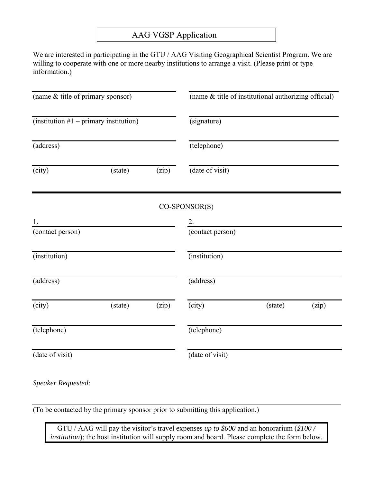## AAG VGSP Application

We are interested in participating in the GTU / AAG Visiting Geographical Scientist Program. We are willing to cooperate with one or more nearby institutions to arrange a visit. (Please print or type information.)

| (signature)<br>(telephone)<br>(date of visit)<br>CO-SPONSOR(S)<br>2.<br>(contact person) |
|------------------------------------------------------------------------------------------|
|                                                                                          |
|                                                                                          |
|                                                                                          |
|                                                                                          |
|                                                                                          |
|                                                                                          |
| (institution)                                                                            |
| (address)                                                                                |
| (city)<br>(state)<br>(zip)                                                               |
| (telephone)                                                                              |
| (date of visit)                                                                          |
|                                                                                          |

*Speaker Requested*:

(To be contacted by the primary sponsor prior to submitting this application.)

GTU / AAG will pay the visitor's travel expenses *up to \$600* and an honorarium (*\$100 / institution*); the host institution will supply room and board. Please complete the form below.